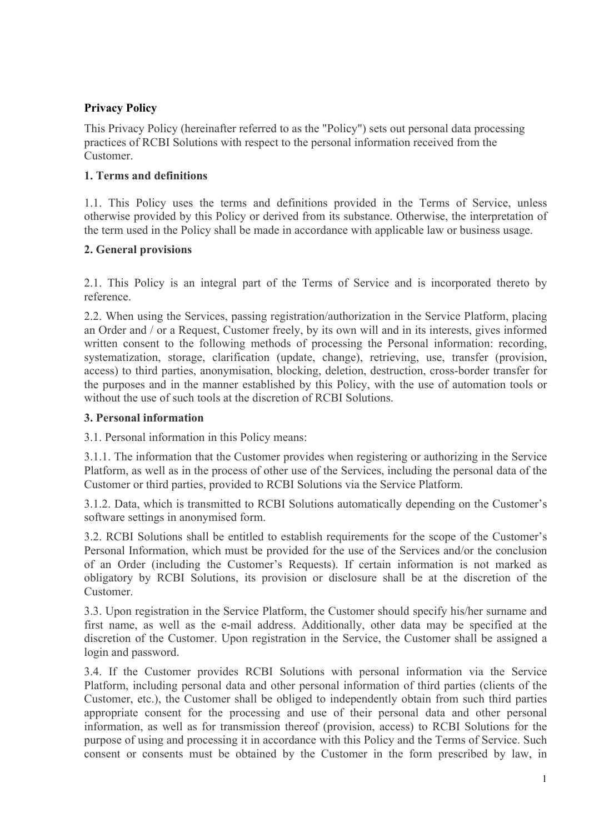# **Privacy Policy**

This Privacy Policy (hereinafter referred to as the "Policy") sets out personal data processing practices of RCBI Solutions with respect to the personal information received from the Customer.

## **1. Terms and definitions**

1.1. This Policy uses the terms and definitions provided in the Terms of Service, unless otherwise provided by this Policy or derived from its substance. Otherwise, the interpretation of the term used in the Policy shall be made in accordance with applicable law or business usage.

## **2. General provisions**

2.1. This Policy is an integral part of the Terms of Service and is incorporated thereto by reference.

2.2. When using the Services, passing registration/authorization in the Service Platform, placing an Order and / or a Request, Customer freely, by its own will and in its interests, gives informed written consent to the following methods of processing the Personal information: recording, systematization, storage, clarification (update, change), retrieving, use, transfer (provision, access) to third parties, anonymisation, blocking, deletion, destruction, cross-border transfer for the purposes and in the manner established by this Policy, with the use of automation tools or without the use of such tools at the discretion of RCBI Solutions.

### **3. Personal information**

3.1. Personal information in this Policy means:

3.1.1. The information that the Customer provides when registering or authorizing in the Service Platform, as well as in the process of other use of the Services, including the personal data of the Customer or third parties, provided to RCBI Solutions via the Service Platform.

3.1.2. Data, which is transmitted to RCBI Solutions automatically depending on the Customer's software settings in anonymised form.

3.2. RCBI Solutions shall be entitled to establish requirements for the scope of the Customer's Personal Information, which must be provided for the use of the Services and/or the conclusion of an Order (including the Customer's Requests). If certain information is not marked as obligatory by RCBI Solutions, its provision or disclosure shall be at the discretion of the Customer.

3.3. Upon registration in the Service Platform, the Customer should specify his/her surname and first name, as well as the e-mail address. Additionally, other data may be specified at the discretion of the Customer. Upon registration in the Service, the Customer shall be assigned a login and password.

3.4. If the Customer provides RCBI Solutions with personal information via the Service Platform, including personal data and other personal information of third parties (clients of the Customer, etc.), the Customer shall be obliged to independently obtain from such third parties appropriate consent for the processing and use of their personal data and other personal information, as well as for transmission thereof (provision, access) to RCBI Solutions for the purpose of using and processing it in accordance with this Policy and the Terms of Service. Such consent or consents must be obtained by the Customer in the form prescribed by law, in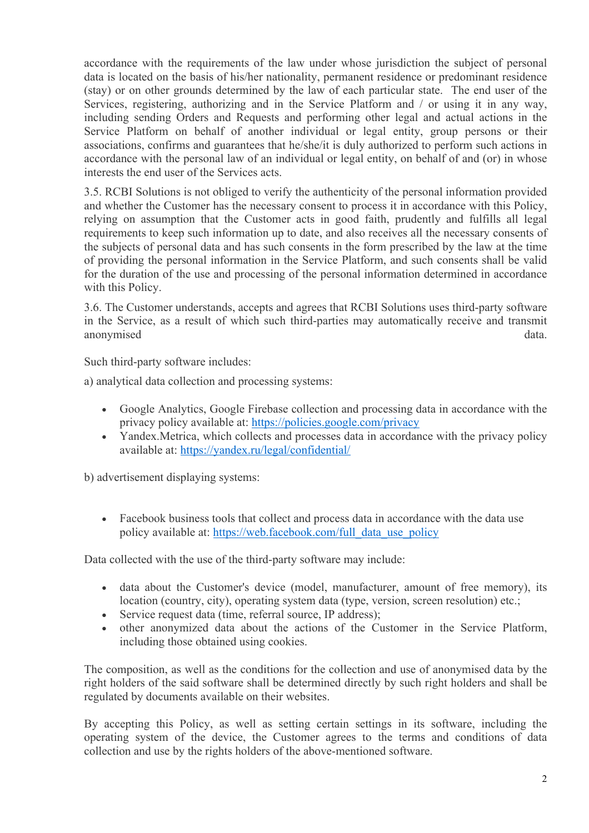accordance with the requirements of the law under whose jurisdiction the subject of personal data is located on the basis of his/her nationality, permanent residence or predominant residence (stay) or on other grounds determined by the law of each particular state. The end user of the Services, registering, authorizing and in the Service Platform and / or using it in any way, including sending Orders and Requests and performing other legal and actual actions in the Service Platform on behalf of another individual or legal entity, group persons or their associations, confirms and guarantees that he/she/it is duly authorized to perform such actions in accordance with the personal law of an individual or legal entity, on behalf of and (or) in whose interests the end user of the Services acts.

3.5. RCBI Solutions is not obliged to verify the authenticity of the personal information provided and whether the Customer has the necessary consent to process it in accordance with this Policy, relying on assumption that the Customer acts in good faith, prudently and fulfills all legal requirements to keep such information up to date, and also receives all the necessary consents of the subjects of personal data and has such consents in the form prescribed by the law at the time of providing the personal information in the Service Platform, and such consents shall be valid for the duration of the use and processing of the personal information determined in accordance with this Policy.

3.6. The Customer understands, accepts and agrees that RCBI Solutions uses third-party software in the Service, as a result of which such third-parties may automatically receive and transmit anonymised data.

Such third-party software includes:

a) analytical data collection and processing systems:

- Google Analytics, Google Firebase collection and processing data in accordance with the privacy policy available at: https://policies.google.com/privacy
- Yandex. Metrica, which collects and processes data in accordance with the privacy policy available at: https://yandex.ru/legal/confidential/

b) advertisement displaying systems:

• Facebook business tools that collect and process data in accordance with the data use policy available at: https://web.facebook.com/full\_data\_use\_policy

Data collected with the use of the third-party software may include:

- data about the Customer's device (model, manufacturer, amount of free memory), its location (country, city), operating system data (type, version, screen resolution) etc.;
- Service request data (time, referral source, IP address);
- other anonymized data about the actions of the Customer in the Service Platform, including those obtained using cookies.

The composition, as well as the conditions for the collection and use of anonymised data by the right holders of the said software shall be determined directly by such right holders and shall be regulated by documents available on their websites.

By accepting this Policy, as well as setting certain settings in its software, including the operating system of the device, the Customer agrees to the terms and conditions of data collection and use by the rights holders of the above-mentioned software.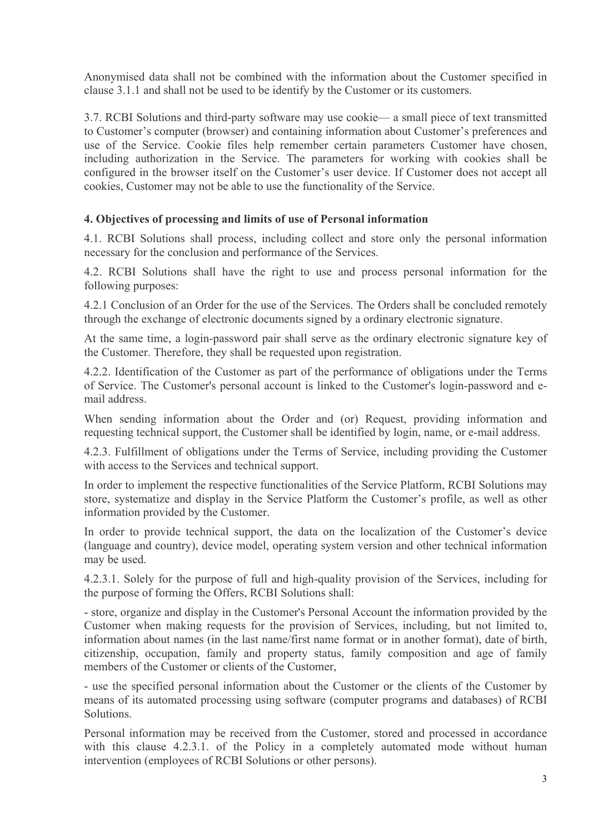Anonymised data shall not be combined with the information about the Customer specified in clause 3.1.1 and shall not be used to be identify by the Customer or its customers.

3.7. RCBI Solutions and third-party software may use cookie— a small piece of text transmitted to Customer's computer (browser) and containing information about Customer's preferences and use of the Service. Cookie files help remember certain parameters Customer have chosen, including authorization in the Service. The parameters for working with cookies shall be configured in the browser itself on the Customer's user device. If Customer does not accept all cookies, Customer may not be able to use the functionality of the Service.

## **4. Objectives of processing and limits of use of Personal information**

4.1. RCBI Solutions shall process, including collect and store only the personal information necessary for the conclusion and performance of the Services.

4.2. RCBI Solutions shall have the right to use and process personal information for the following purposes:

4.2.1 Conclusion of an Order for the use of the Services. The Orders shall be concluded remotely through the exchange of electronic documents signed by a ordinary electronic signature.

At the same time, a login-password pair shall serve as the ordinary electronic signature key of the Customer. Therefore, they shall be requested upon registration.

4.2.2. Identification of the Customer as part of the performance of obligations under the Terms of Service. The Customer's personal account is linked to the Customer's login-password and email address.

When sending information about the Order and (or) Request, providing information and requesting technical support, the Customer shall be identified by login, name, or e-mail address.

4.2.3. Fulfillment of obligations under the Terms of Service, including providing the Customer with access to the Services and technical support.

In order to implement the respective functionalities of the Service Platform, RCBI Solutions may store, systematize and display in the Service Platform the Customer's profile, as well as other information provided by the Customer.

In order to provide technical support, the data on the localization of the Customer's device (language and country), device model, operating system version and other technical information may be used.

4.2.3.1. Solely for the purpose of full and high-quality provision of the Services, including for the purpose of forming the Offers, RCBI Solutions shall:

- store, organize and display in the Customer's Personal Account the information provided by the Customer when making requests for the provision of Services, including, but not limited to, information about names (in the last name/first name format or in another format), date of birth, citizenship, occupation, family and property status, family composition and age of family members of the Customer or clients of the Customer,

- use the specified personal information about the Customer or the clients of the Customer by means of its automated processing using software (computer programs and databases) of RCBI Solutions.

Personal information may be received from the Customer, stored and processed in accordance with this clause 4.2.3.1. of the Policy in a completely automated mode without human intervention (employees of RCBI Solutions or other persons).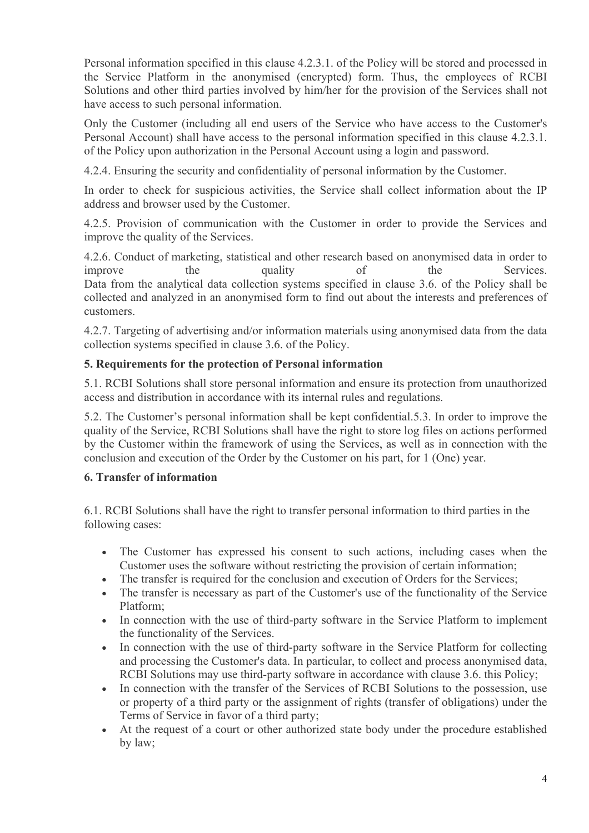Personal information specified in this clause 4.2.3.1. of the Policy will be stored and processed in the Service Platform in the anonymised (encrypted) form. Thus, the employees of RCBI Solutions and other third parties involved by him/her for the provision of the Services shall not have access to such personal information.

Only the Customer (including all end users of the Service who have access to the Customer's Personal Account) shall have access to the personal information specified in this clause 4.2.3.1. of the Policy upon authorization in the Personal Account using a login and password.

4.2.4. Ensuring the security and confidentiality of personal information by the Customer.

In order to check for suspicious activities, the Service shall collect information about the IP address and browser used by the Customer.

4.2.5. Provision of communication with the Customer in order to provide the Services and improve the quality of the Services.

4.2.6. Conduct of marketing, statistical and other research based on anonymised data in order to improve the quality of the Services. Data from the analytical data collection systems specified in clause 3.6. of the Policy shall be collected and analyzed in an anonymised form to find out about the interests and preferences of customers.

4.2.7. Targeting of advertising and/or information materials using anonymised data from the data collection systems specified in clause 3.6. of the Policy.

#### **5. Requirements for the protection of Personal information**

5.1. RCBI Solutions shall store personal information and ensure its protection from unauthorized access and distribution in accordance with its internal rules and regulations.

5.2. The Customer's personal information shall be kept confidential.5.3. In order to improve the quality of the Service, RCBI Solutions shall have the right to store log files on actions performed by the Customer within the framework of using the Services, as well as in connection with the conclusion and execution of the Order by the Customer on his part, for 1 (One) year.

#### **6. Transfer of information**

6.1. RCBI Solutions shall have the right to transfer personal information to third parties in the following cases:

- The Customer has expressed his consent to such actions, including cases when the Customer uses the software without restricting the provision of certain information;
- The transfer is required for the conclusion and execution of Orders for the Services;
- The transfer is necessary as part of the Customer's use of the functionality of the Service Platform;
- In connection with the use of third-party software in the Service Platform to implement the functionality of the Services.
- In connection with the use of third-party software in the Service Platform for collecting and processing the Customer's data. In particular, to collect and process anonymised data, RCBI Solutions may use third-party software in accordance with clause 3.6. this Policy;
- In connection with the transfer of the Services of RCBI Solutions to the possession, use or property of a third party or the assignment of rights (transfer of obligations) under the Terms of Service in favor of a third party;
- At the request of a court or other authorized state body under the procedure established by law;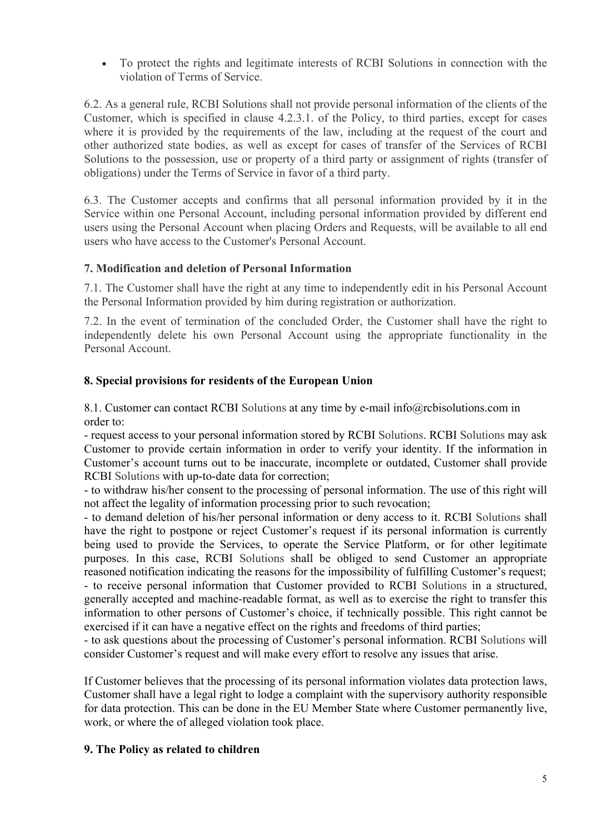• To protect the rights and legitimate interests of RCBI Solutions in connection with the violation of Terms of Service.

6.2. As a general rule, RCBI Solutions shall not provide personal information of the clients of the Customer, which is specified in clause 4.2.3.1. of the Policy, to third parties, except for cases where it is provided by the requirements of the law, including at the request of the court and other authorized state bodies, as well as except for cases of transfer of the Services of RCBI Solutions to the possession, use or property of a third party or assignment of rights (transfer of obligations) under the Terms of Service in favor of a third party.

6.3. The Customer accepts and confirms that all personal information provided by it in the Service within one Personal Account, including personal information provided by different end users using the Personal Account when placing Orders and Requests, will be available to all end users who have access to the Customer's Personal Account.

## **7. Modification and deletion of Personal Information**

7.1. The Customer shall have the right at any time to independently edit in his Personal Account the Personal Information provided by him during registration or authorization.

7.2. In the event of termination of the concluded Order, the Customer shall have the right to independently delete his own Personal Account using the appropriate functionality in the Personal Account.

## **8. Special provisions for residents of the European Union**

8.1. Customer can contact RCBI Solutions at any time by e-mail info@rcbisolutions.com in order to:

- request access to your personal information stored by RCBI Solutions. RCBI Solutions may ask Customer to provide certain information in order to verify your identity. If the information in Customer's account turns out to be inaccurate, incomplete or outdated, Customer shall provide RCBI Solutions with up-to-date data for correction;

- to withdraw his/her consent to the processing of personal information. The use of this right will not affect the legality of information processing prior to such revocation;

- to demand deletion of his/her personal information or deny access to it. RCBI Solutions shall have the right to postpone or reject Customer's request if its personal information is currently being used to provide the Services, to operate the Service Platform, or for other legitimate purposes. In this case, RCBI Solutions shall be obliged to send Customer an appropriate reasoned notification indicating the reasons for the impossibility of fulfilling Customer's request; - to receive personal information that Customer provided to RCBI Solutions in a structured, generally accepted and machine-readable format, as well as to exercise the right to transfer this information to other persons of Customer's choice, if technically possible. This right cannot be exercised if it can have a negative effect on the rights and freedoms of third parties;

- to ask questions about the processing of Customer's personal information. RCBI Solutions will consider Customer's request and will make every effort to resolve any issues that arise.

If Customer believes that the processing of its personal information violates data protection laws, Customer shall have a legal right to lodge a complaint with the supervisory authority responsible for data protection. This can be done in the EU Member State where Customer permanently live, work, or where the of alleged violation took place.

#### **9. The Policy as related to children**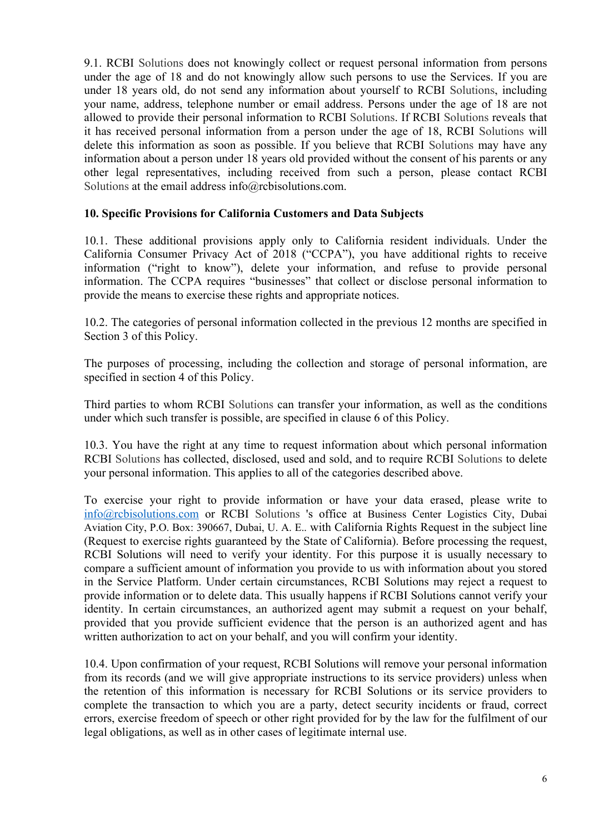9.1. RCBI Solutions does not knowingly collect or request personal information from persons under the age of 18 and do not knowingly allow such persons to use the Services. If you are under 18 years old, do not send any information about yourself to RCBI Solutions, including your name, address, telephone number or email address. Persons under the age of 18 are not allowed to provide their personal information to RCBI Solutions. If RCBI Solutions reveals that it has received personal information from a person under the age of 18, RCBI Solutions will delete this information as soon as possible. If you believe that RCBI Solutions may have any information about a person under 18 years old provided without the consent of his parents or any other legal representatives, including received from such a person, please contact RCBI Solutions at the email address info@rcbisolutions.com.

#### **10. Specific Provisions for California Customers and Data Subjects**

10.1. These additional provisions apply only to California resident individuals. Under the California Consumer Privacy Act of 2018 ("CCPA"), you have additional rights to receive information ("right to know"), delete your information, and refuse to provide personal information. The CCPA requires "businesses" that collect or disclose personal information to provide the means to exercise these rights and appropriate notices.

10.2. The categories of personal information collected in the previous 12 months are specified in Section 3 of this Policy.

The purposes of processing, including the collection and storage of personal information, are specified in section 4 of this Policy.

Third parties to whom RCBI Solutions can transfer your information, as well as the conditions under which such transfer is possible, are specified in clause 6 of this Policy.

10.3. You have the right at any time to request information about which personal information RCBI Solutions has collected, disclosed, used and sold, and to require RCBI Solutions to delete your personal information. This applies to all of the categories described above.

To exercise your right to provide information or have your data erased, please write to info@rcbisolutions.com or RCBI Solutions 's office at Business Center Logistics City, Dubai Aviation City, P.O. Box: 390667, Dubai, U. A. E.. with California Rights Request in the subject line (Request to exercise rights guaranteed by the State of California). Before processing the request, RCBI Solutions will need to verify your identity. For this purpose it is usually necessary to compare a sufficient amount of information you provide to us with information about you stored in the Service Platform. Under certain circumstances, RCBI Solutions may reject a request to provide information or to delete data. This usually happens if RCBI Solutions cannot verify your identity. In certain circumstances, an authorized agent may submit a request on your behalf, provided that you provide sufficient evidence that the person is an authorized agent and has written authorization to act on your behalf, and you will confirm your identity.

10.4. Upon confirmation of your request, RCBI Solutions will remove your personal information from its records (and we will give appropriate instructions to its service providers) unless when the retention of this information is necessary for RCBI Solutions or its service providers to complete the transaction to which you are a party, detect security incidents or fraud, correct errors, exercise freedom of speech or other right provided for by the law for the fulfilment of our legal obligations, as well as in other cases of legitimate internal use.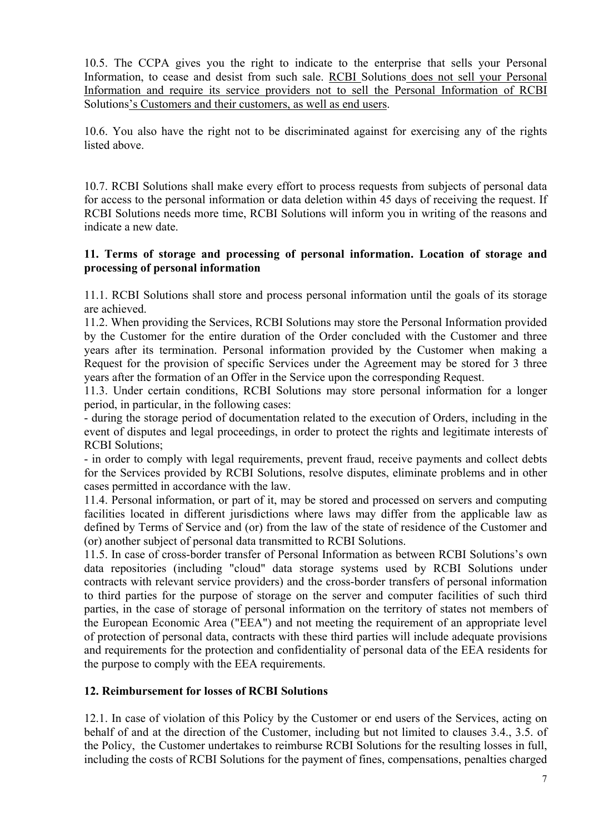10.5. The CCPA gives you the right to indicate to the enterprise that sells your Personal Information, to cease and desist from such sale. RCBI Solutions does not sell your Personal Information and require its service providers not to sell the Personal Information of RCBI Solutions's Customers and their customers, as well as end users.

10.6. You also have the right not to be discriminated against for exercising any of the rights listed above.

10.7. RCBI Solutions shall make every effort to process requests from subjects of personal data for access to the personal information or data deletion within 45 days of receiving the request. If RCBI Solutions needs more time, RCBI Solutions will inform you in writing of the reasons and indicate a new date.

### **11. Terms of storage and processing of personal information. Location of storage and processing of personal information**

11.1. RCBI Solutions shall store and process personal information until the goals of its storage are achieved.

11.2. When providing the Services, RCBI Solutions may store the Personal Information provided by the Customer for the entire duration of the Order concluded with the Customer and three years after its termination. Personal information provided by the Customer when making a Request for the provision of specific Services under the Agreement may be stored for 3 three years after the formation of an Offer in the Service upon the corresponding Request.

11.3. Under certain conditions, RCBI Solutions may store personal information for a longer period, in particular, in the following cases:

- during the storage period of documentation related to the execution of Orders, including in the event of disputes and legal proceedings, in order to protect the rights and legitimate interests of RCBI Solutions;

- in order to comply with legal requirements, prevent fraud, receive payments and collect debts for the Services provided by RCBI Solutions, resolve disputes, eliminate problems and in other cases permitted in accordance with the law.

11.4. Personal information, or part of it, may be stored and processed on servers and computing facilities located in different jurisdictions where laws may differ from the applicable law as defined by Terms of Service and (or) from the law of the state of residence of the Customer and (or) another subject of personal data transmitted to RCBI Solutions.

11.5. In case of cross-border transfer of Personal Information as between RCBI Solutions's own data repositories (including "cloud" data storage systems used by RCBI Solutions under contracts with relevant service providers) and the cross-border transfers of personal information to third parties for the purpose of storage on the server and computer facilities of such third parties, in the case of storage of personal information on the territory of states not members of the European Economic Area ("EEA") and not meeting the requirement of an appropriate level of protection of personal data, contracts with these third parties will include adequate provisions and requirements for the protection and confidentiality of personal data of the EEA residents for the purpose to comply with the EEA requirements.

#### **12. Reimbursement for losses of RCBI Solutions**

12.1. In case of violation of this Policy by the Customer or end users of the Services, acting on behalf of and at the direction of the Customer, including but not limited to clauses 3.4., 3.5. of the Policy, the Customer undertakes to reimburse RCBI Solutions for the resulting losses in full, including the costs of RCBI Solutions for the payment of fines, compensations, penalties charged